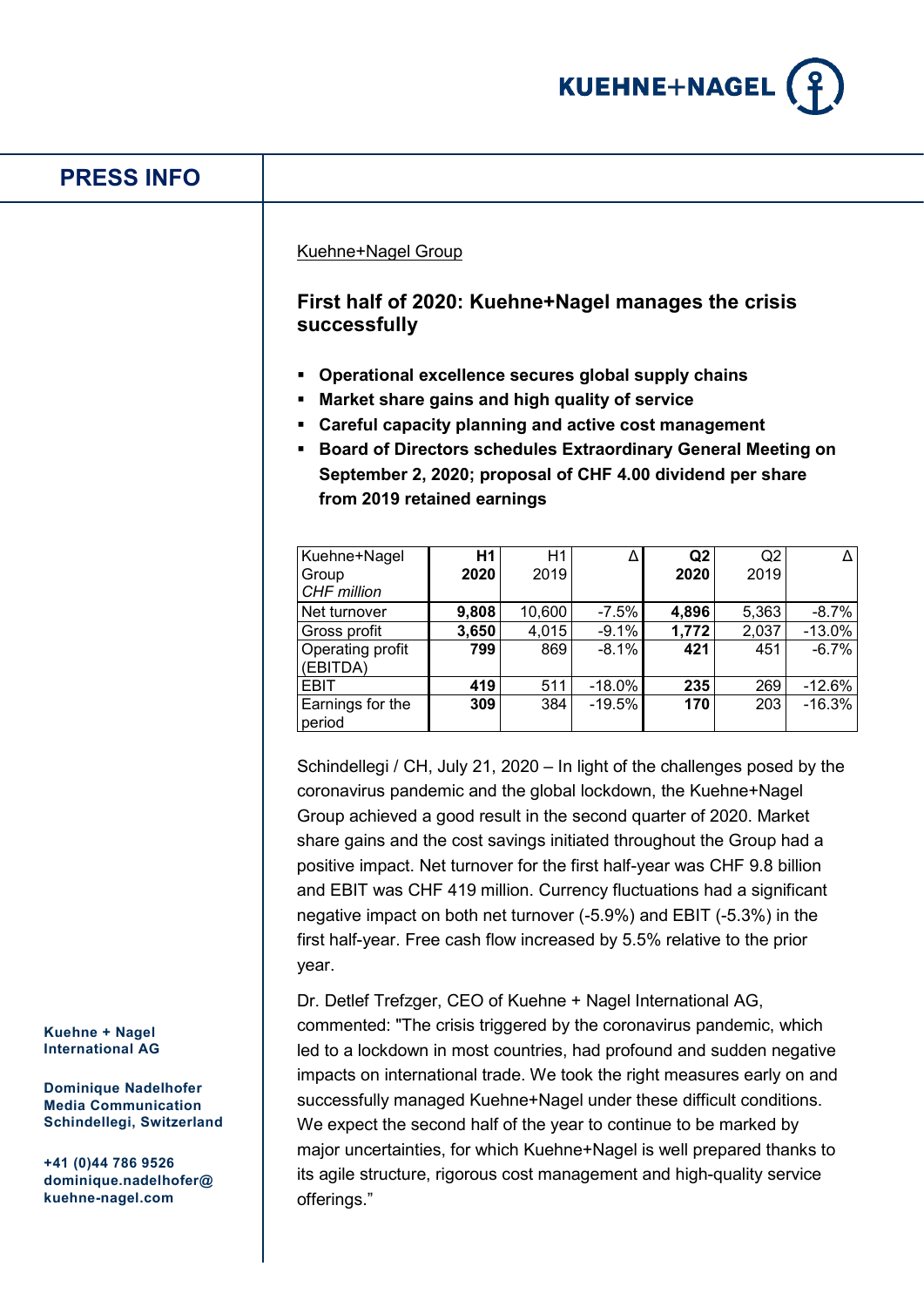

# **PRESS INFO**

#### Kuehne+Nagel Group

**First half of 2020: Kuehne+Nagel manages the crisis successfully**

- **Operational excellence secures global supply chains**
- **Market share gains and high quality of service**
- **Careful capacity planning and active cost management**
- **Board of Directors schedules Extraordinary General Meeting on September 2, 2020; proposal of CHF 4.00 dividend per share from 2019 retained earnings**

| Kuehne+Nagel<br>Group<br>CHF million | H1<br>2020 | H1<br>2019 |          | Q2<br>2020 | Q2<br>2019 |          |
|--------------------------------------|------------|------------|----------|------------|------------|----------|
| Net turnover                         | 9,808      | 10,600     | $-7.5%$  | 4,896      | 5,363      | $-8.7%$  |
| Gross profit                         | 3,650      | 4,015      | $-9.1%$  | 1,772      | 2,037      | $-13.0%$ |
| Operating profit<br>(EBITDA)         | 799        | 869        | $-8.1%$  | 421        | 451        | $-6.7%$  |
| EBIT                                 | 419        | 511        | $-18.0%$ | 235        | 269        | $-12.6%$ |
| Earnings for the<br>period           | 309        | 384        | $-19.5%$ | 170        | 203        | $-16.3%$ |

Schindellegi / CH, July 21, 2020 – In light of the challenges posed by the coronavirus pandemic and the global lockdown, the Kuehne+Nagel Group achieved a good result in the second quarter of 2020. Market share gains and the cost savings initiated throughout the Group had a positive impact. Net turnover for the first half-year was CHF 9.8 billion and EBIT was CHF 419 million. Currency fluctuations had a significant negative impact on both net turnover (-5.9%) and EBIT (-5.3%) in the first half-year. Free cash flow increased by 5.5% relative to the prior year.

Dr. Detlef Trefzger, CEO of Kuehne + Nagel International AG, commented: "The crisis triggered by the coronavirus pandemic, which led to a lockdown in most countries, had profound and sudden negative impacts on international trade. We took the right measures early on and successfully managed Kuehne+Nagel under these difficult conditions. We expect the second half of the year to continue to be marked by major uncertainties, for which Kuehne+Nagel is well prepared thanks to its agile structure, rigorous cost management and high-quality service offerings."

**Kuehne + Nagel International AG**

**Dominique Nadelhofer Media Communication Schindellegi, Switzerland**

**+41 (0)44 786 9526 dominique.nadelhofer@ kuehne-nagel.com**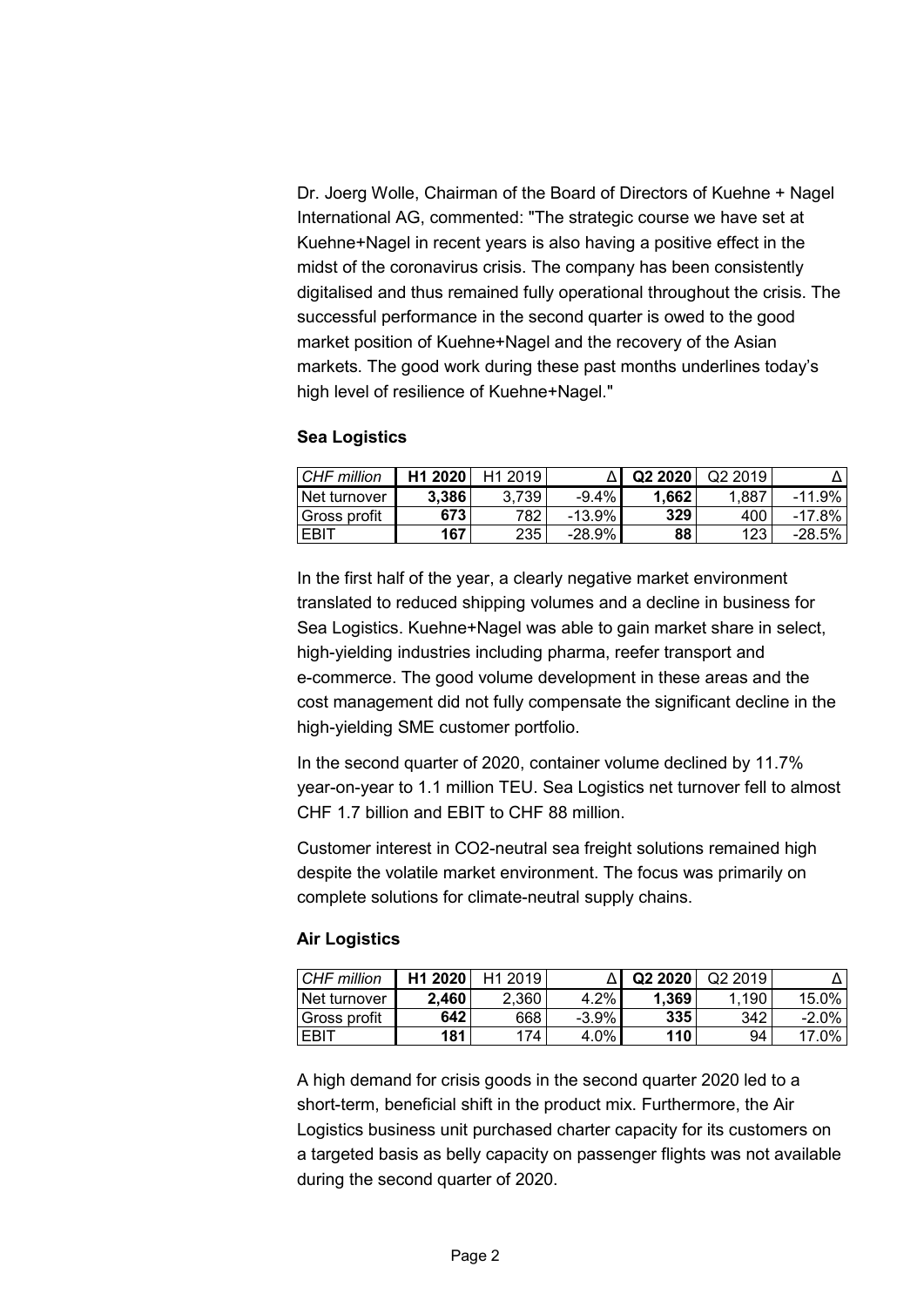Dr. Joerg Wolle, Chairman of the Board of Directors of Kuehne + Nagel International AG, commented: "The strategic course we have set at Kuehne+Nagel in recent years is also having a positive effect in the midst of the coronavirus crisis. The company has been consistently digitalised and thus remained fully operational throughout the crisis. The successful performance in the second quarter is owed to the good market position of Kuehne+Nagel and the recovery of the Asian markets. The good work during these past months underlines today's high level of resilience of Kuehne+Nagel."

# **Sea Logistics**

| CHF million   | H <sub>1</sub> 2020 | H <sub>1</sub> 2019 |           | Q2 2020 | Q2 2019 |           |
|---------------|---------------------|---------------------|-----------|---------|---------|-----------|
| ⊥Net turnover | 3.386               | 3.739               | $-9.4\%$  | 1.662   | 1.887   | $-11.9\%$ |
| Gross profit  | 673                 | 782                 | $-13.9\%$ | 329     | 400     | -17.8% l  |
| EBIT          | 167                 | 235                 | $-28.9%$  | 88      | 123     | -28.5% l  |

In the first half of the year, a clearly negative market environment translated to reduced shipping volumes and a decline in business for Sea Logistics. Kuehne+Nagel was able to gain market share in select, high-yielding industries including pharma, reefer transport and e-commerce. The good volume development in these areas and the cost management did not fully compensate the significant decline in the high-yielding SME customer portfolio.

In the second quarter of 2020, container volume declined by 11.7% year-on-year to 1.1 million TEU. Sea Logistics net turnover fell to almost CHF 1.7 billion and EBIT to CHF 88 million.

Customer interest in CO2-neutral sea freight solutions remained high despite the volatile market environment. The focus was primarily on complete solutions for climate-neutral supply chains.

# **Air Logistics**

| CHF million         | H <sub>1</sub> 2020 | H <sub>1</sub> 2019 |         | Q <sub>2</sub> 2020 | Q <sub>2</sub> 2019 |          |
|---------------------|---------------------|---------------------|---------|---------------------|---------------------|----------|
| <b>Net turnover</b> | 2.460.              | 2.360               | 4.2%    | 1,369               | .190                | $15.0\%$ |
| Gross profit        | 642                 | 668                 | $-3.9%$ | 335                 | 342                 | $-2.0\%$ |
| EBIT                | 181                 | 174                 | 4.0%    | 110                 | 94                  | 17.0%    |

A high demand for crisis goods in the second quarter 2020 led to a short-term, beneficial shift in the product mix. Furthermore, the Air Logistics business unit purchased charter capacity for its customers on a targeted basis as belly capacity on passenger flights was not available during the second quarter of 2020.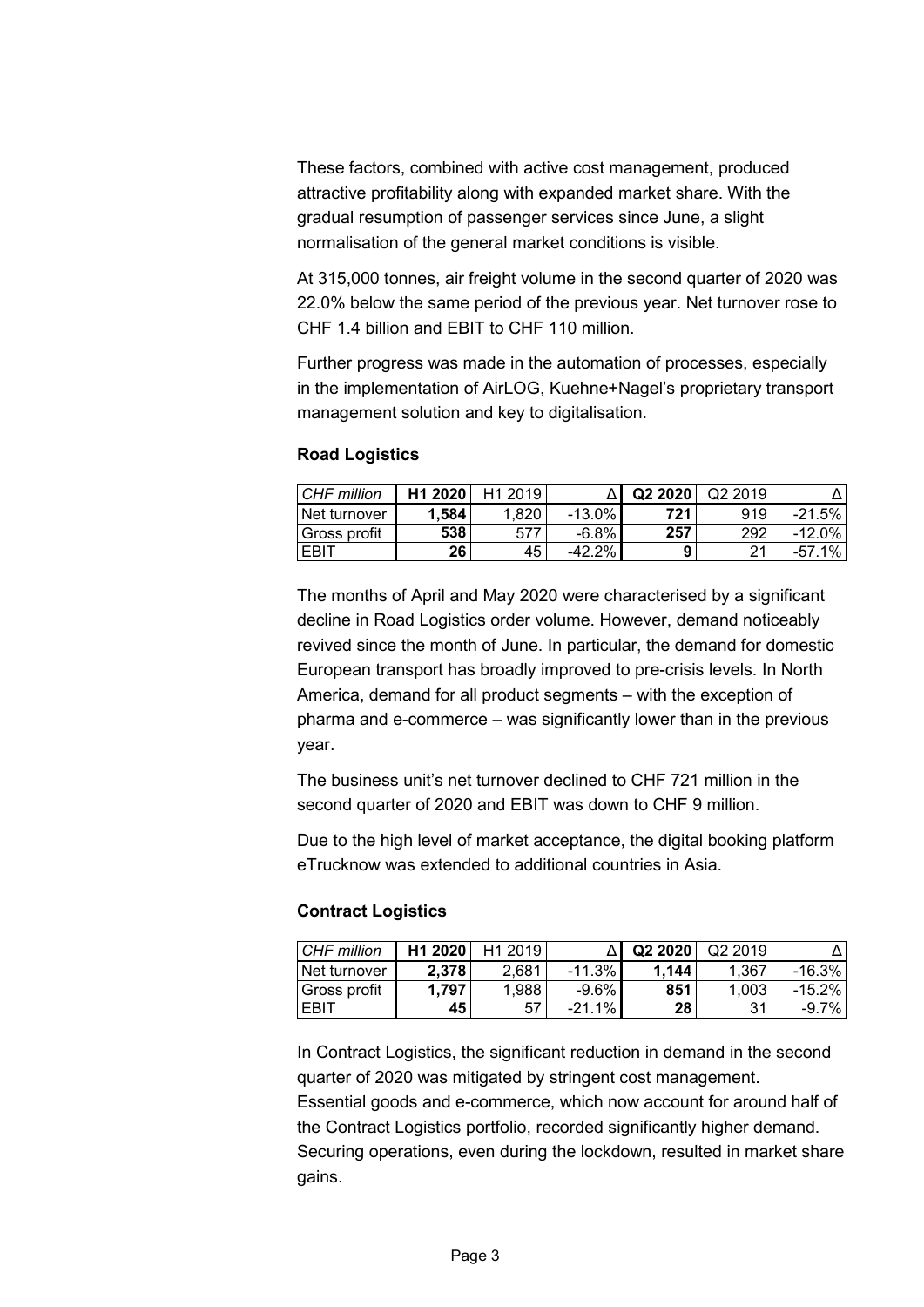These factors, combined with active cost management, produced attractive profitability along with expanded market share. With the gradual resumption of passenger services since June, a slight normalisation of the general market conditions is visible.

At 315,000 tonnes, air freight volume in the second quarter of 2020 was 22.0% below the same period of the previous year. Net turnover rose to CHF 1.4 billion and EBIT to CHF 110 million.

Further progress was made in the automation of processes, especially in the implementation of AirLOG, Kuehne+Nagel's proprietary transport management solution and key to digitalisation.

# **Road Logistics**

| CHF million  | H <sub>1</sub> 2020 | H <sub>1</sub> 2019 |           | Q2 2020 | Q2 2019 |           |
|--------------|---------------------|---------------------|-----------|---------|---------|-----------|
| Net turnover | 1.584               | .820                | $-13.0\%$ | 721     | 919     | -21.5% l  |
| Gross profit | 538                 | 577                 | $-6.8%$   | 257     | 292     | -12.0% l  |
| EBIT         | 26                  | 45                  | $-42.2\%$ | 9       | 04      | $-57.1\%$ |

The months of April and May 2020 were characterised by a significant decline in Road Logistics order volume. However, demand noticeably revived since the month of June. In particular, the demand for domestic European transport has broadly improved to pre-crisis levels. In North America, demand for all product segments – with the exception of pharma and e-commerce – was significantly lower than in the previous year.

The business unit's net turnover declined to CHF 721 million in the second quarter of 2020 and EBIT was down to CHF 9 million.

Due to the high level of market acceptance, the digital booking platform eTrucknow was extended to additional countries in Asia.

# **Contract Logistics**

| CHF million   | H <sub>1</sub> 2020 | H <sub>1</sub> 2019 |          | Q <sub>2</sub> 2020 | Q <sub>2</sub> 2019 |           |
|---------------|---------------------|---------------------|----------|---------------------|---------------------|-----------|
| Net turnover  | 2,378               | 2.681               | $-11.3%$ | 1.144.              | 1.367               | $-16.3\%$ |
| 'Gross profit | 1,797               | 1.988               | $-9.6\%$ | 851                 | 1.003               | -15.2% l  |
| EBIT          | 45                  | 57                  | $-211%$  | 28                  | 31                  | -9.7% l   |

In Contract Logistics, the significant reduction in demand in the second quarter of 2020 was mitigated by stringent cost management. Essential goods and e-commerce, which now account for around half of the Contract Logistics portfolio, recorded significantly higher demand. Securing operations, even during the lockdown, resulted in market share gains.